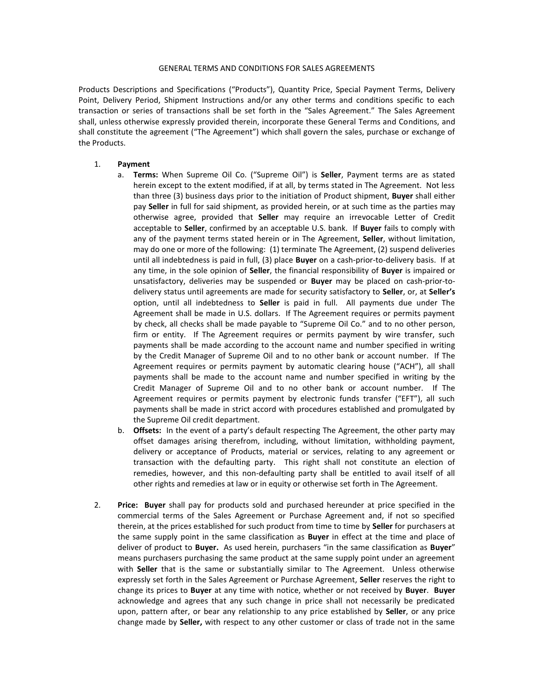## GENERAL TERMS AND CONDITIONS FOR SALES AGREEMENTS

Products Descriptions and Specifications ("Products"), Quantity Price, Special Payment Terms, Delivery Point, Delivery Period, Shipment Instructions and/or any other terms and conditions specific to each transaction or series of transactions shall be set forth in the "Sales Agreement." The Sales Agreement shall, unless otherwise expressly provided therein, incorporate these General Terms and Conditions, and shall constitute the agreement ("The Agreement") which shall govern the sales, purchase or exchange of the Products.

## 1. **Payment**

- a. **Terms:** When Supreme Oil Co. ("Supreme Oil") is **Seller**, Payment terms are as stated herein except to the extent modified, if at all, by terms stated in The Agreement. Not less than three (3) business days prior to the initiation of Product shipment, **Buyer** shall either pay **Seller** in full for said shipment, as provided herein, or at such time as the parties may otherwise agree, provided that **Seller** may require an irrevocable Letter of Credit acceptable to **Seller**, confirmed by an acceptable U.S. bank. If **Buyer** fails to comply with any of the payment terms stated herein or in The Agreement, **Seller**, without limitation, may do one or more of the following: (1) terminate The Agreement, (2) suspend deliveries until all indebtedness is paid in full, (3) place **Buyer** on a cash-prior-to-delivery basis. If at any time, in the sole opinion of **Seller**, the financial responsibility of **Buyer** is impaired or unsatisfactory, deliveries may be suspended or **Buyer** may be placed on cash-prior-todelivery status until agreements are made for security satisfactory to **Seller**, or, at **Seller's** option, until all indebtedness to **Seller** is paid in full. All payments due under The Agreement shall be made in U.S. dollars. If The Agreement requires or permits payment by check, all checks shall be made payable to "Supreme Oil Co." and to no other person, firm or entity. If The Agreement requires or permits payment by wire transfer, such payments shall be made according to the account name and number specified in writing by the Credit Manager of Supreme Oil and to no other bank or account number. If The Agreement requires or permits payment by automatic clearing house ("ACH"), all shall payments shall be made to the account name and number specified in writing by the Credit Manager of Supreme Oil and to no other bank or account number. If The Agreement requires or permits payment by electronic funds transfer ("EFT"), all such payments shall be made in strict accord with procedures established and promulgated by the Supreme Oil credit department.
- b. **Offsets:** In the event of a party's default respecting The Agreement, the other party may offset damages arising therefrom, including, without limitation, withholding payment, delivery or acceptance of Products, material or services, relating to any agreement or transaction with the defaulting party. This right shall not constitute an election of remedies, however, and this non-defaulting party shall be entitled to avail itself of all other rights and remedies at law or in equity or otherwise set forth in The Agreement.
- 2. **Price: Buyer** shall pay for products sold and purchased hereunder at price specified in the commercial terms of the Sales Agreement or Purchase Agreement and, if not so specified therein, at the prices established for such product from time to time by **Seller** for purchasers at the same supply point in the same classification as **Buyer** in effect at the time and place of deliver of product to **Buyer.** As used herein, purchasers "in the same classification as **Buyer**" means purchasers purchasing the same product at the same supply point under an agreement with **Seller** that is the same or substantially similar to The Agreement. Unless otherwise expressly set forth in the Sales Agreement or Purchase Agreement, **Seller** reserves the right to change its prices to **Buyer** at any time with notice, whether or not received by **Buyer**. **Buyer** acknowledge and agrees that any such change in price shall not necessarily be predicated upon, pattern after, or bear any relationship to any price established by **Seller**, or any price change made by **Seller,** with respect to any other customer or class of trade not in the same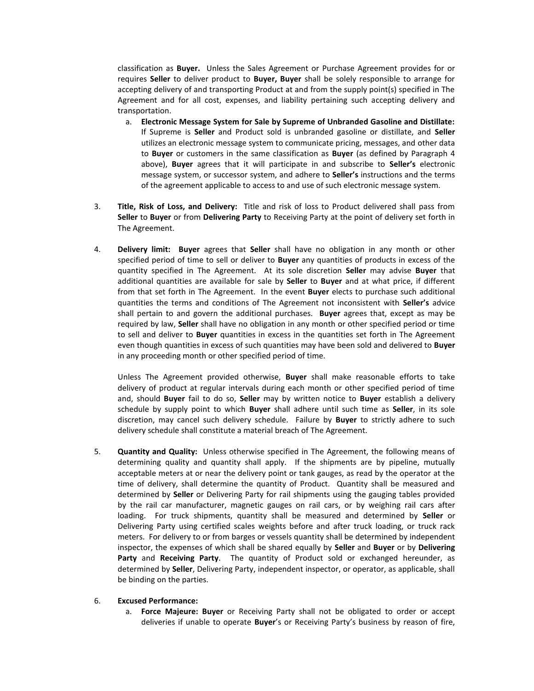classification as **Buyer.** Unless the Sales Agreement or Purchase Agreement provides for or requires **Seller** to deliver product to **Buyer, Buyer** shall be solely responsible to arrange for accepting delivery of and transporting Product at and from the supply point(s) specified in The Agreement and for all cost, expenses, and liability pertaining such accepting delivery and transportation.

- a. **Electronic Message System for Sale by Supreme of Unbranded Gasoline and Distillate:** If Supreme is **Seller** and Product sold is unbranded gasoline or distillate, and **Seller** utilizes an electronic message system to communicate pricing, messages, and other data to **Buyer** or customers in the same classification as **Buyer** (as defined by Paragraph 4 above), **Buyer** agrees that it will participate in and subscribe to **Seller's** electronic message system, or successor system, and adhere to **Seller's** instructions and the terms of the agreement applicable to access to and use of such electronic message system.
- 3. **Title, Risk of Loss, and Delivery:** Title and risk of loss to Product delivered shall pass from **Seller** to **Buyer** or from **Delivering Party** to Receiving Party at the point of delivery set forth in The Agreement.
- 4. **Delivery limit: Buyer** agrees that **Seller** shall have no obligation in any month or other specified period of time to sell or deliver to **Buyer** any quantities of products in excess of the quantity specified in The Agreement. At its sole discretion **Seller** may advise **Buyer** that additional quantities are available for sale by **Seller** to **Buyer** and at what price, if different from that set forth in The Agreement. In the event **Buyer** elects to purchase such additional quantities the terms and conditions of The Agreement not inconsistent with **Seller's** advice shall pertain to and govern the additional purchases. **Buyer** agrees that, except as may be required by law, **Seller** shall have no obligation in any month or other specified period or time to sell and deliver to **Buyer** quantities in excess in the quantities set forth in The Agreement even though quantities in excess of such quantities may have been sold and delivered to **Buyer** in any proceeding month or other specified period of time.

Unless The Agreement provided otherwise, **Buyer** shall make reasonable efforts to take delivery of product at regular intervals during each month or other specified period of time and, should **Buyer** fail to do so, **Seller** may by written notice to **Buyer** establish a delivery schedule by supply point to which **Buyer** shall adhere until such time as **Seller**, in its sole discretion, may cancel such delivery schedule. Failure by **Buyer** to strictly adhere to such delivery schedule shall constitute a material breach of The Agreement.

5. **Quantity and Quality:** Unless otherwise specified in The Agreement, the following means of determining quality and quantity shall apply. If the shipments are by pipeline, mutually acceptable meters at or near the delivery point or tank gauges, as read by the operator at the time of delivery, shall determine the quantity of Product. Quantity shall be measured and determined by **Seller** or Delivering Party for rail shipments using the gauging tables provided by the rail car manufacturer, magnetic gauges on rail cars, or by weighing rail cars after loading. For truck shipments, quantity shall be measured and determined by **Seller** or Delivering Party using certified scales weights before and after truck loading, or truck rack meters. For delivery to or from barges or vessels quantity shall be determined by independent inspector, the expenses of which shall be shared equally by **Seller** and **Buyer** or by **Delivering Party** and **Receiving Party**. The quantity of Product sold or exchanged hereunder, as determined by **Seller**, Delivering Party, independent inspector, or operator, as applicable, shall be binding on the parties.

## 6. **Excused Performance:**

a. **Force Majeure: Buyer** or Receiving Party shall not be obligated to order or accept deliveries if unable to operate **Buyer**'s or Receiving Party's business by reason of fire,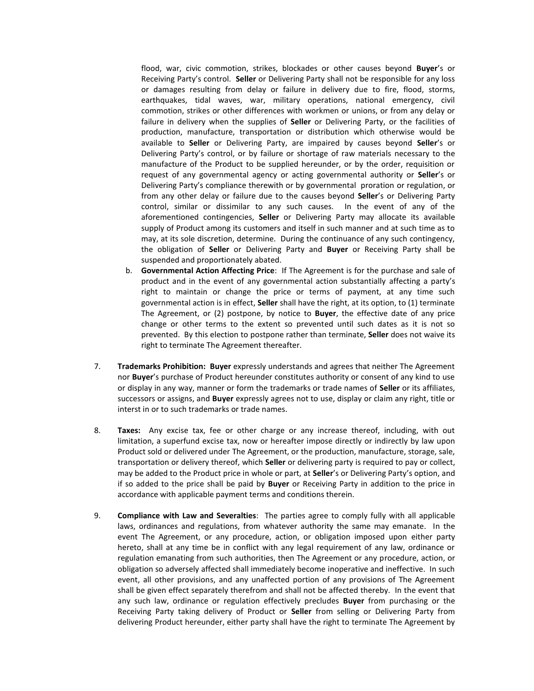flood, war, civic commotion, strikes, blockades or other causes beyond **Buyer**'s or Receiving Party's control. **Seller** or Delivering Party shall not be responsible for any loss or damages resulting from delay or failure in delivery due to fire, flood, storms, earthquakes, tidal waves, war, military operations, national emergency, civil commotion, strikes or other differences with workmen or unions, or from any delay or failure in delivery when the supplies of **Seller** or Delivering Party, or the facilities of production, manufacture, transportation or distribution which otherwise would be available to **Seller** or Delivering Party, are impaired by causes beyond **Seller**'s or Delivering Party's control, or by failure or shortage of raw materials necessary to the manufacture of the Product to be supplied hereunder, or by the order, requisition or request of any governmental agency or acting governmental authority or **Seller**'s or Delivering Party's compliance therewith or by governmental proration or regulation, or from any other delay or failure due to the causes beyond **Seller**'s or Delivering Party control, similar or dissimilar to any such causes. In the event of any of the aforementioned contingencies, **Seller** or Delivering Party may allocate its available supply of Product among its customers and itself in such manner and at such time as to may, at its sole discretion, determine. During the continuance of any such contingency, the obligation of **Seller** or Delivering Party and **Buyer** or Receiving Party shall be suspended and proportionately abated.

- b. **Governmental Action Affecting Price**: If The Agreement is for the purchase and sale of product and in the event of any governmental action substantially affecting a party's right to maintain or change the price or terms of payment, at any time such governmental action is in effect, **Seller** shall have the right, at its option, to (1) terminate The Agreement, or (2) postpone, by notice to **Buyer**, the effective date of any price change or other terms to the extent so prevented until such dates as it is not so prevented. By this election to postpone rather than terminate, **Seller** does not waive its right to terminate The Agreement thereafter.
- 7. **Trademarks Prohibition: Buyer** expressly understands and agrees that neither The Agreement nor **Buyer**'s purchase of Product hereunder constitutes authority or consent of any kind to use or display in any way, manner or form the trademarks or trade names of **Seller** or its affiliates, successors or assigns, and **Buyer** expressly agrees not to use, display or claim any right, title or interst in or to such trademarks or trade names.
- 8. **Taxes:** Any excise tax, fee or other charge or any increase thereof, including, with out limitation, a superfund excise tax, now or hereafter impose directly or indirectly by law upon Product sold or delivered under The Agreement, or the production, manufacture, storage, sale, transportation or delivery thereof, which **Seller** or delivering party is required to pay or collect, may be added to the Product price in whole or part, at **Seller**'s or Delivering Party's option, and if so added to the price shall be paid by **Buyer** or Receiving Party in addition to the price in accordance with applicable payment terms and conditions therein.
- 9. **Compliance with Law and Severalties**: The parties agree to comply fully with all applicable laws, ordinances and regulations, from whatever authority the same may emanate. In the event The Agreement, or any procedure, action, or obligation imposed upon either party hereto, shall at any time be in conflict with any legal requirement of any law, ordinance or regulation emanating from such authorities, then The Agreement or any procedure, action, or obligation so adversely affected shall immediately become inoperative and ineffective. In such event, all other provisions, and any unaffected portion of any provisions of The Agreement shall be given effect separately therefrom and shall not be affected thereby. In the event that any such law, ordinance or regulation effectively precludes **Buyer** from purchasing or the Receiving Party taking delivery of Product or **Seller** from selling or Delivering Party from delivering Product hereunder, either party shall have the right to terminate The Agreement by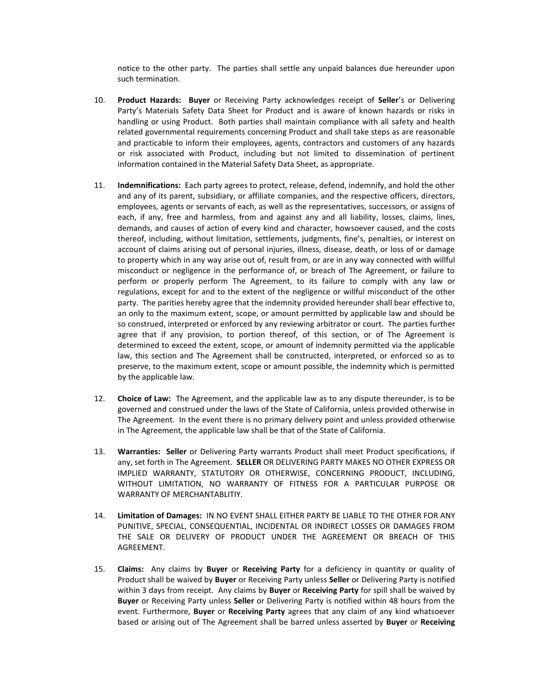notice to the other party. The parties shall settle any unpaid balances due hereunder upon such termination.

- 10. **Product Hazards: Buyer** or Receiving Party acknowledges receipt of **Seller**'s or Delivering Party's Materials Safety Data Sheet for Product and is aware of known hazards or risks in handling or using Product. Both parties shall maintain compliance with all safety and health related governmental requirements concerning Product and shall take steps as are reasonable and practicable to inform their employees, agents, contractors and customers of any hazards or risk associated with Product, including but not limited to dissemination of pertinent information contained in the Material Safety Data Sheet, as appropriate.
- 11. **Indemnifications:** Each party agrees to protect, release, defend, indemnify, and hold the other and any of its parent, subsidiary, or affiliate companies, and the respective officers, directors, employees, agents or servants of each, as well as the representatives, successors, or assigns of each, if any, free and harmless, from and against any and all liability, losses, claims, lines, demands, and causes of action of every kind and character, howsoever caused, and the costs thereof, including, without limitation, settlements, judgments, fine's, penalties, or interest on account of claims arising out of personal injuries, illness, disease, death, or loss of or damage to property which in any way arise out of, result from, or are in any way connected with willful misconduct or negligence in the performance of, or breach of The Agreement, or failure to perform or properly perform The Agreement, to its failure to comply with any law or regulations, except for and to the extent of the negligence or willful misconduct of the other party. The parities hereby agree that the indemnity provided hereunder shall bear effective to, an only to the maximum extent, scope, or amount permitted by applicable law and should be so construed, interpreted or enforced by any reviewing arbitrator or court. The parties further agree that if any provision, to portion thereof, of this section, or of The Agreement is determined to exceed the extent, scope, or amount of indemnity permitted via the applicable law, this section and The Agreement shall be constructed, interpreted, or enforced so as to preserve, to the maximum extent, scope or amount possible, the indemnity which is permitted by the applicable law.
- 12. **Choice of Law:** The Agreement, and the applicable law as to any dispute thereunder, is to be governed and construed under the laws of the State of California, unless provided otherwise in The Agreement. In the event there is no primary delivery point and unless provided otherwise in The Agreement, the applicable law shall be that of the State of California.
- 13. **Warranties: Seller** or Delivering Party warrants Product shall meet Product specifications, if any, set forth in The Agreement. **SELLER** OR DELIVERING PARTY MAKES NO OTHER EXPRESS OR IMPLIED WARRANTY, STATUTORY OR OTHERWISE, CONCERNING PRODUCT, INCLUDING, WITHOUT LIMITATION, NO WARRANTY OF FITNESS FOR A PARTICULAR PURPOSE OR WARRANTY OF MERCHANTABLITIY.
- 14. **Limitation of Damages:** IN NO EVENT SHALL EITHER PARTY BE LIABLE TO THE OTHER FOR ANY PUNITIVE, SPECIAL, CONSEQUENTIAL, INCIDENTAL OR INDIRECT LOSSES OR DAMAGES FROM THE SALE OR DELIVERY OF PRODUCT UNDER THE AGREEMENT OR BREACH OF THIS AGREEMENT.
- 15. **Claims:** Any claims by **Buyer** or **Receiving Party** for a deficiency in quantity or quality of Product shall be waived by **Buyer** or Receiving Party unless **Seller** or Delivering Party is notified within 3 days from receipt. Any claims by **Buyer** or **Receiving Party** for spill shall be waived by **Buyer** or Receiving Party unless **Seller** or Delivering Party is notified within 48 hours from the event. Furthermore, **Buyer** or **Receiving Party** agrees that any claim of any kind whatsoever based or arising out of The Agreement shall be barred unless asserted by **Buyer** or **Receiving**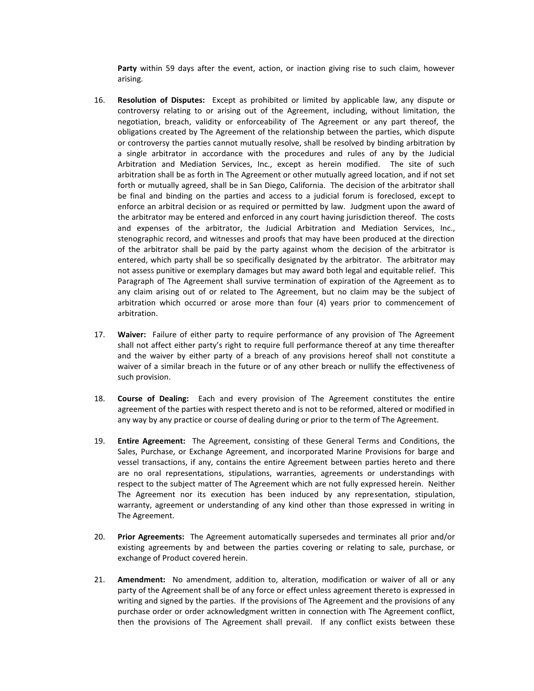**Party** within 59 days after the event, action, or inaction giving rise to such claim, however arising.

- 16. **Resolution of Disputes:** Except as prohibited or limited by applicable law, any dispute or controversy relating to or arising out of the Agreement, including, without limitation, the negotiation, breach, validity or enforceability of The Agreement or any part thereof, the obligations created by The Agreement of the relationship between the parties, which dispute or controversy the parties cannot mutually resolve, shall be resolved by binding arbitration by a single arbitrator in accordance with the procedures and rules of any by the Judicial Arbitration and Mediation Services, Inc., except as herein modified. The site of such arbitration shall be as forth in The Agreement or other mutually agreed location, and if not set forth or mutually agreed, shall be in San Diego, California. The decision of the arbitrator shall be final and binding on the parties and access to a judicial forum is foreclosed, except to enforce an arbitral decision or as required or permitted by law. Judgment upon the award of the arbitrator may be entered and enforced in any court having jurisdiction thereof. The costs and expenses of the arbitrator, the Judicial Arbitration and Mediation Services, Inc., stenographic record, and witnesses and proofs that may have been produced at the direction of the arbitrator shall be paid by the party against whom the decision of the arbitrator is entered, which party shall be so specifically designated by the arbitrator. The arbitrator may not assess punitive or exemplary damages but may award both legal and equitable relief. This Paragraph of The Agreement shall survive termination of expiration of the Agreement as to any claim arising out of or related to The Agreement, but no claim may be the subject of arbitration which occurred or arose more than four (4) years prior to commencement of arbitration.
- 17. **Waiver:** Failure of either party to require performance of any provision of The Agreement shall not affect either party's right to require full performance thereof at any time thereafter and the waiver by either party of a breach of any provisions hereof shall not constitute a waiver of a similar breach in the future or of any other breach or nullify the effectiveness of such provision.
- 18. **Course of Dealing:** Each and every provision of The Agreement constitutes the entire agreement of the parties with respect thereto and is not to be reformed, altered or modified in any way by any practice or course of dealing during or prior to the term of The Agreement.
- 19. **Entire Agreement:** The Agreement, consisting of these General Terms and Conditions, the Sales, Purchase, or Exchange Agreement, and incorporated Marine Provisions for barge and vessel transactions, if any, contains the entire Agreement between parties hereto and there are no oral representations, stipulations, warranties, agreements or understandings with respect to the subject matter of The Agreement which are not fully expressed herein. Neither The Agreement nor its execution has been induced by any representation, stipulation, warranty, agreement or understanding of any kind other than those expressed in writing in The Agreement.
- 20. **Prior Agreements:** The Agreement automatically supersedes and terminates all prior and/or existing agreements by and between the parties covering or relating to sale, purchase, or exchange of Product covered herein.
- 21. **Amendment:** No amendment, addition to, alteration, modification or waiver of all or any party of the Agreement shall be of any force or effect unless agreement thereto is expressed in writing and signed by the parties. If the provisions of The Agreement and the provisions of any purchase order or order acknowledgment written in connection with The Agreement conflict, then the provisions of The Agreement shall prevail. If any conflict exists between these